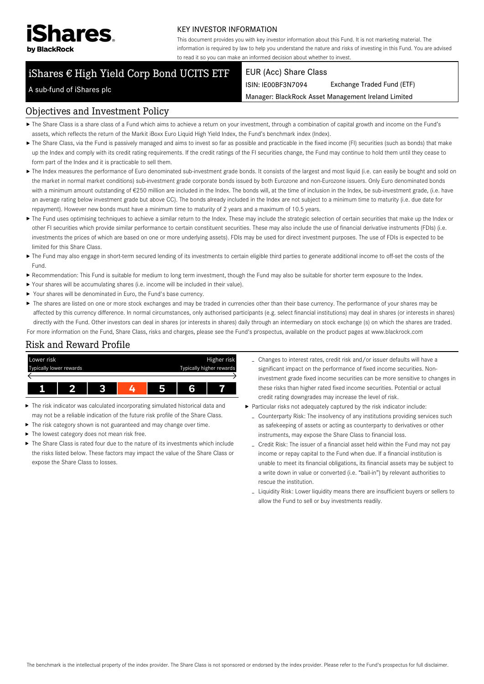

#### KEY INVESTOR INFORMATION

This document provides you with key investor information about this Fund. It is not marketing material. The information is required by law to help you understand the nature and risks of investing in this Fund. You are advised to read it so you can make an informed decision about whether to invest.

# iShares € High Yield Corp Bond UCITS ETF

#### EUR (Acc) Share Class

ISIN: IE00BF3N7094 Exchange Traded Fund (ETF)

Manager: BlackRock Asset Management Ireland Limited

#### A sub-fund of iShares plc

#### Objectives and Investment Policy

- The Share Class is a share class of a Fund which aims to achieve a return on your investment, through a combination of capital growth and income on the Fund's assets, which reflects the return of the Markit iBoxx Euro Liquid High Yield Index, the Fund's benchmark index (Index).
- ▶ The Share Class, via the Fund is passively managed and aims to invest so far as possible and practicable in the fixed income (FI) securities (such as bonds) that make up the Index and comply with its credit rating requirements. If the credit ratings of the FI securities change, the Fund may continue to hold them until they cease to form part of the Index and it is practicable to sell them.
- ▶ The Index measures the performance of Euro denominated sub-investment grade bonds. It consists of the largest and most liquid (i.e. can easily be bought and sold on the market in normal market conditions) sub-investment grade corporate bonds issued by both Eurozone and non-Eurozone issuers. Only Euro denominated bonds with a minimum amount outstanding of €250 million are included in the Index. The bonds will, at the time of inclusion in the Index, be sub-investment grade, (i.e. have an average rating below investment grade but above CC). The bonds already included in the Index are not subject to a minimum time to maturity (i.e. due date for repayment). However new bonds must have a minimum time to maturity of 2 years and a maximum of 10.5 years.
- ▶ The Fund uses optimising techniques to achieve a similar return to the Index. These may include the strategic selection of certain securities that make up the Index or other FI securities which provide similar performance to certain constituent securities. These may also include the use of financial derivative instruments (FDIs) (i.e. investments the prices of which are based on one or more underlying assets). FDIs may be used for direct investment purposes. The use of FDIs is expected to be limited for this Share Class.
- ▶ The Fund may also engage in short-term secured lending of its investments to certain eligible third parties to generate additional income to off-set the costs of the Fund.
- Recommendation: This Fund is suitable for medium to long term investment, though the Fund may also be suitable for shorter term exposure to the Index.
- Your shares will be accumulating shares (i.e. income will be included in their value).
- Your shares will be denominated in Euro, the Fund's base currency.
- ▶ The shares are listed on one or more stock exchanges and may be traded in currencies other than their base currency. The performance of your shares may be affected by this currency difference. In normal circumstances, only authorised participants (e.g. select financial institutions) may deal in shares (or interests in shares) directly with the Fund. Other investors can deal in shares (or interests in shares) daily through an intermediary on stock exchange (s) on which the shares are traded. For more information on the Fund, Share Class, risks and charges, please see the Fund's prospectus, available on the product pages at www.blackrock.com

## Risk and Reward Profile



- The risk indicator was calculated incorporating simulated historical data and may not be a reliable indication of the future risk profile of the Share Class.
- The risk category shown is not guaranteed and may change over time.
- The lowest category does not mean risk free. Ы
- $\blacktriangleright$  The Share Class is rated four due to the nature of its investments which include the risks listed below. These factors may impact the value of the Share Class or expose the Share Class to losses.
- Changes to interest rates, credit risk and/or issuer defaults will have a significant impact on the performance of fixed income securities. Noninvestment grade fixed income securities can be more sensitive to changes in these risks than higher rated fixed income securities. Potential or actual credit rating downgrades may increase the level of risk.
- Particular risks not adequately captured by the risk indicator include:
	- Counterparty Risk: The insolvency of any institutions providing services such as safekeeping of assets or acting as counterparty to derivatives or other instruments, may expose the Share Class to financial loss.
	- Credit Risk: The issuer of a financial asset held within the Fund may not pay income or repay capital to the Fund when due. If a financial institution is unable to meet its financial obligations, its financial assets may be subject to a write down in value or converted (i.e. "bail-in") by relevant authorities to rescue the institution.
	- Liquidity Risk: Lower liquidity means there are insufficient buyers or sellers to allow the Fund to sell or buy investments readily.